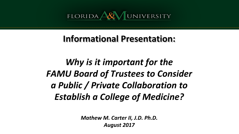

#### **Informational Presentation:**

# *Why is it important for the FAMU Board of Trustees to Consider a Public / Private Collaboration to Establish a College of Medicine?*

*Mathew M. Carter II, J.D. Ph.D. August 2017*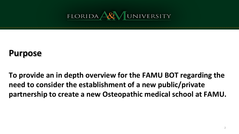

#### **Purpose**

**To provide an in depth overview for the FAMU BOT regarding the need to consider the establishment of a new public/private partnership to create a new Osteopathic medical school at FAMU.**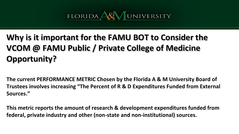# **Why is it important for the FAMU BOT to Consider the VCOM @ FAMU Public / Private College of Medicine Opportunity?**

**The current PERFORMANCE METRIC Chosen by the Florida A & M University Board of Trustees involves increasing "The Percent of R & D Expenditures Funded from External Sources."**

**This metric reports the amount of research & development expenditures funded from federal, private industry and other (non-state and non-institutional) sources.**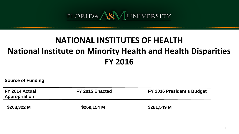#### **NATIONAL INSTITUTES OF HEALTH National Institute on Minority Health and Health Disparities FY 2016**

**Source of Funding** 

| FY 2014 Actual<br><b>Appropriation</b> | FY 2015 Enacted | FY 2016 President's Budget |
|----------------------------------------|-----------------|----------------------------|
| \$268,322 M                            | $$269,154$ M    | \$281,549 M                |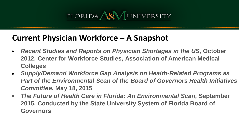#### **Current Physician Workforce – A Snapshot**

- *Recent Studies and Reports on Physician Shortages in the US***, October 2012, Center for Workforce Studies, Association of American Medical Colleges**
- *Supply/Demand Workforce Gap Analysis on Health-Related Programs as*  **Part of the Environmental Scan of the Board of Governors Health Initiatives** *Committee***, May 18, 2015**
- *The Future of Health Care in Florida: An Environmental Scan,* **September 2015, Conducted by the State University System of Florida Board of Governors**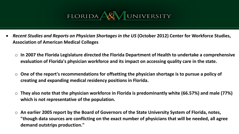

- *Recent Studies and Reports on Physician Shortages in the US* **(October 2012) Center for Workforce Studies, Association of American Medical Colleges**
	- o **In 2007 the Florida Legislature directed the Florida Department of Health to undertake a comprehensive evaluation of Florida's physician workforce and its impact on accessing quality care in the state.**
	- o **One of the report's recommendations for offsetting the physician shortage is to pursue a policy of creating and expanding medical residency positions in Florida.**
	- o **They also note that the physician workforce in Florida is predominantly white (66.57%) and male (77%) which is not representative of the population.**
	- o **An earlier 2005 report by the Board of Governors of the State University System of Florida, notes, "though data sources are conflicting on the exact number of physicians that will be needed, all agree demand outstrips production."**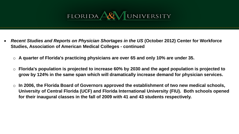

- *Recent Studies and Reports on Physician Shortages in the US* **(October 2012) Center for Workforce Studies, Association of American Medical Colleges - continued**
	- A quarter of Florida's practicing physicians are over 65 and only 10% are under 35.
	- o **Florida's population is projected to increase 60% by 2030 and the aged population is projected to grow by 124% in the same span which will dramatically increase demand for physician services.**
	- In 2006, the Florida Board of Governors approved the establishment of two new medical schools, **University of Central Florida (UCF) and Florida International University (FIU). Both schools opened for their inaugural classes in the fall of 2009 with 41 and 43 students respectively.**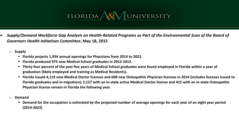- **Supply/Demand Workforce Gap Analysis on Health-Related Programs as Part of the Environmental Scan of the Board of** *Governors Health Initiatives Committee***, May 18, 2015**
	- o **Supply**
		- **Florida projects 1,934 annual openings for Physicians from 2014 to 2022.**
		- **Florida produced 975 new Medical School graduates in 2012-2013.**
		- **Thirty-four percent of the past five years of Medical School graduates were found employed in Florida within a year of graduation (likely employed and training as Medical Residents).**
		- **Florida issued 4,119 new Medical Doctor licenses and 608 new Osteopathic Physician licenses in 2014 (includes licenses issued to Florida graduates and in-migration); 2,127 with an in-state active Medical Doctor license and 415 with an in-state Osteopathic Physician license remain in Florida the following year.**
	- o **Demand**
		- **Demand for the occupation is estimated by the projected number of average openings for each year of an eight year period (2014-2022)**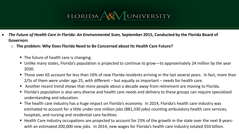- *The Future of Health Care in Florida: An Environmental Scan,* **September 2015, Conducted by the Florida Board of Governors**
	- o **The problem: Why Does Florida Need to Be Concerned about Its Health Care Future?** 
		- The future of health care is changing.
		- Unlike many states, Florida's population is projected to continue to grow—to approximately 24 million by the year 2030.
		- Those over 65 account for less than 10% of new Florida residents arriving in the last several years. In fact, more than 2/5s of them were under age 25, with different – but equally as important – needs for health care.
		- Another recent trend shows that more people about a decade away from retirement are moving to Florida.
		- Florida's population is also very diverse and health care needs and delivery to these groups can require specialized understanding and education.
		- The health care industry has a huge impact on Florida's economy. In 2014, Florida's health care industry was estimated to account for a little under one million jobs (881,330 jobs) counting ambulatory health care services, hospitals, and nursing and residential care facilities.
		- Health Care industry occupations are projected to account for 23% of the growth in the state over the next 8 yearswith an estimated 200,000 new jobs. In 2014, new wages for Florida's health care industry totaled \$50 billion.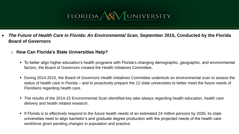

- *The Future of Health Care in Florida: An Environmental Scan,* **September 2015, Conducted by the Florida Board of Governors**
	- o **How Can Florida's State Universities Help?**
		- To better align higher education's health programs with Florida's changing demographic, geographic, and environmental factors, the Board of Governors created the Health Initiatives Committee.
		- During 2014-2015, the Board of Governors Health Initiatives Committee undertook an environmental scan to assess the status of health care in Florida – and to proactively prepare the 12 state universities to better meet the future needs of Floridians regarding health care.
		- The results of the 2014-15 Environmental Scan identified key take always regarding health education, health care delivery and health related research.
		- If Florida is to effectively respond to the future health needs of an estimated 24 million persons by 2030, its state universities need to align bachelor's and graduate degree production with the projected needs of the health care workforce given pending changes in population and practice.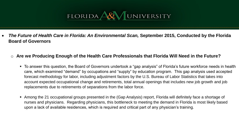*The Future of Health Care in Florida: An Environmental Scan,* **September 2015, Conducted by the Florida Board of Governors**

#### o **Are we Producing Enough of the Health Care Professionals that Florida Will Need in the Future?**

- To answer this question, the Board of Governors undertook a "gap analysis" of Florida's future workforce needs in health care, which examined "demand" by occupations and "supply" by education program. This gap analysis used accepted forecast methodology for labor, including adjustment factors by the U.S. Bureau of Labor Statistics that takes into account expected occupational change and retirements, total annual openings that includes new job growth and job replacements due to retirements of separations from the labor force.
- Among the 21 occupational groups presented in the (Gap Analysis) report, Florida will definitely face a shortage of nurses and physicians. Regarding physicians, this bottleneck to meeting the demand in Florida is most likely based upon a lack of available residences, which is required and critical part of any physician's training.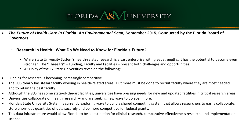

- *The Future of Health Care in Florida: An Environmental Scan,* **September 2015, Conducted by the Florida Board of Governors**
	- o **Research in Health: What Do We Need to Know for Florida's Future?**
		- While State University System's health-related research is a vast enterprise with great strengths, it has the potential to become even stronger. The "Three F's" – Funding, Faculty and Facilities – present both challenges and opportunities.
		- A Survey of the 12 State Universities revealed the following:
- Funding for research is becoming increasingly competitive.
- The SUS clearly has stellar faculty working in health-related areas. But more must be done to recruit faculty where they are most needed and to retain the best faculty.
- Although the SUS has some state-of-the-art facilities, universities have pressing needs for new and updated facilities in critical research areas.
- Universities collaborate on health research and are seeking new ways to do even more.
- Florida's State University System is currently exploring ways to build a shared computing system that allows researchers to easily collaborate, store enormous quantities of data securely and be more competitive for federal grants.
- This data infrastructure would allow Florida to be a destination for clinical research, comparative effectiveness research, and implementation science.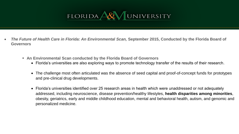- *The Future of Health Care in Florida: An Environmental Scan,* **September 2015, Conducted by the Florida Board of Governors**
	- **An Environmental Scan conducted by the Florida Board of Governors**
		- Florida's universities are also exploring ways to promote technology transfer of the results of their research.
		- The challenge most often articulated was the absence of seed capital and proof-of-concept funds for prototypes and pre-clinical drug developments.
		- Florida's universities identified over 25 research areas in health which were unaddressed or not adequately addressed, including neuroscience, disease prevention/healthy lifestyles, **health disparities among minorities**, obesity, geriatrics, early and middle childhood education, mental and behavioral health, autism, and genomic and personalized medicine.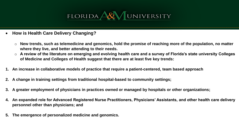

- **How is Health Care Delivery Changing?**
	- o **New trends, such as telemedicine and genomics, hold the promise of reaching more of the population, no matter where they live, and better attending to their needs.**
	- o **A review of the literature on emerging and evolving health care and a survey of Florida's state university Colleges of Medicine and Colleges of Health suggest that there are at least five key trends:**
- **1. An increase in collaborative models of practice that require a patient-centered, team based approach**
- **2. A change in training settings from traditional hospital-based to community settings;**
- **3. A greater employment of physicians in practices owned or managed by hospitals or other organizations;**
- **4. An expanded role for Advanced Registered Nurse Practitioners, Physicians' Assistants, and other health care delivery personnel other than physicians; and**
- **5. The emergence of personalized medicine and genomics.**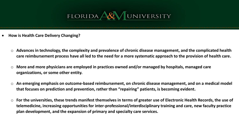

- **How is Health Care Delivery Changing?**
	- o **Advances in technology, the complexity and prevalence of chronic disease management, and the complicated health care reimbursement process have all led to the need for a more systematic approach to the provision of health care.**
	- o **More and more physicians are employed in practices owned and/or managed by hospitals, managed care organizations, or some other entity.**
	- o **An emerging emphasis on outcome-based reimbursement, on chronic disease management, and on a medical model that focuses on prediction and prevention, rather than "repairing" patients, is becoming evident.**
	- o **For the universities, these trends manifest themselves in terms of greater use of Electronic Health Records, the use of telemedicine, increasing opportunities for inter-professional/interdisciplinary training and care, new faculty practice plan development, and the expansion of primary and specialty care services.**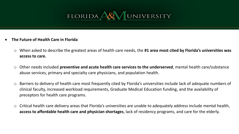

- **The Future of Health Care in Florida**
	- o When asked to describe the greatest areas of health care needs, the **#1 area most cited by Florida's universities was access to care.**
	- o Other needs included **preventive and acute health care services to the underserved**, mental health care/substance abuse services, primary and specialty care physicians, and population health.
	- o Barriers to delivery of health care most frequently cited by Florida's universities include lack of adequate numbers of clinical faculty, increased workload requirements, Graduate Medical Education funding, and the availability of preceptors for health care programs.
	- $\circ$  Critical health care delivery areas that Florida's universities are unable to adequately address include mental health, **access to affordable health care and physician shortages**, lack of residency programs, and care for the elderly.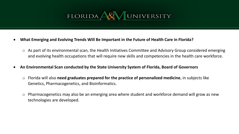

- **What Emerging and Evolving Trends Will Be Important in the Future of Health Care in Florida?**
	- o As part of its environmental scan, the Health Initiatives Committee and Advisory Group considered emerging and evolving health occupations that will require new skills and competencies in the health care workforce.
- **An Environmental Scan conducted by the State University System of Florida, Board of Governors**
	- o Florida will also **need graduates prepared for the practice of personalized medicine**, in subjects like Genetics, Pharmacogenetics, and Bioinformatics.
	- o Pharmacogenetics may also be an emerging area where student and workforce demand will grow as new technologies are developed.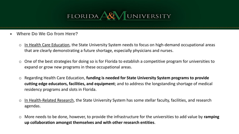

- **Where Do We Go from Here?**
	- o In Health Care Education, the State University System needs to focus on high-demand occupational areas that are clearly demonstrating a future shortage, especially physicians and nurses.
	- $\circ$  One of the best strategies for doing so is for Florida to establish a competitive program for universities to expand or grow new programs in these occupational areas.
	- o Regarding Health Care Education, **funding is needed for State University System programs to provide cutting edge educators, facilities, and equipment**; and to address the longstanding shortage of medical residency programs and slots in Florida.
	- o In Health-Related Research, the State University System has some stellar faculty, facilities, and research agendas.
	- o More needs to be done, however, to provide the infrastructure for the universities to add value by **ramping up collaboration amongst themselves and with other research entities**.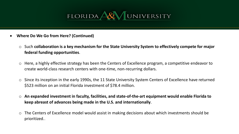

- **Where Do We Go from Here? (Continued)**
	- o Such **collaboration is a key mechanism for the State University System to effectively compete for major federal funding opportunities**.
	- o Here, a highly effective strategy has been the Centers of Excellence program, a competitive endeavor to create world-class research centers with one-time, non-recurring dollars.
	- o Since its inception in the early 1990s, the 11 State University System Centers of Excellence have returned \$523 million on an initial Florida investment of \$78.4 million.
	- o **An expanded investment in faculty, facilities, and state-of-the-art equipment would enable Florida to keep abreast of advances being made in the U.S. and internationally**.
	- $\circ$  The Centers of Excellence model would assist in making decisions about which investments should be prioritized..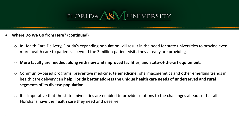

**Where Do We Go from Here? (continued)**

.

.

- $\circ$  In Health Care Delivery, Florida's expanding population will result in the need for state universities to provide even more health care to patients-- beyond the 3 million patient visits they already are providing.
- o **More faculty are needed, along with new and improved facilities, and state-of-the-art equipment**.
- o Community-based programs, preventive medicine, telemedicine, pharmacogenetics and other emerging trends in health care delivery can **help Florida better address the unique health care needs of underserved and rural segments of its diverse population**.
- o It is imperative that the state universities are enabled to provide solutions to the challenges ahead so that all Floridians have the health care they need and deserve.